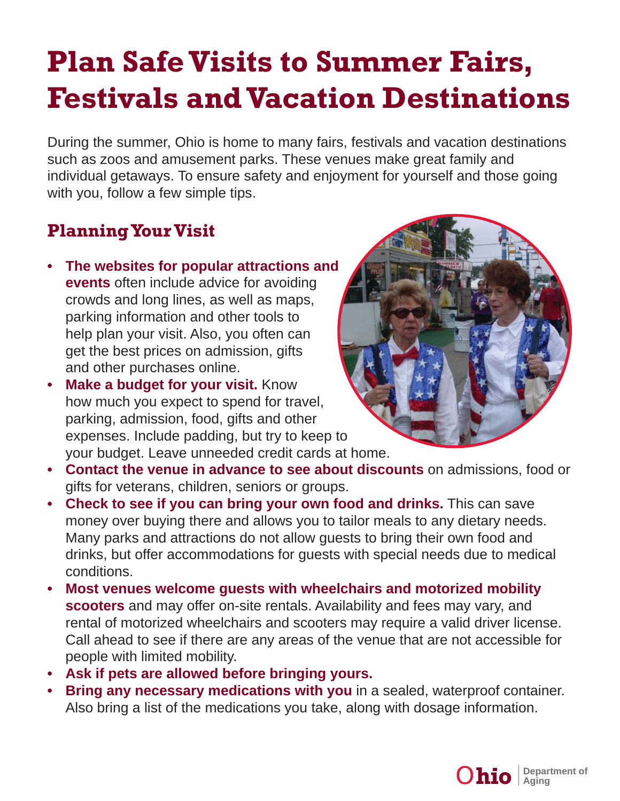## **Plan Safe Visits to Summer Fairs, Festivals and Vacation Destinations**

During the summer, Ohio is home to many fairs, festivals and vacation destinations such as zoos and amusement parks. These venues make great family and individual getaways. To ensure safety and enjoyment for yourself and those going with you, follow a few simple tips.

## **Planning Your Visit**

- **The websites for popular attractions and events** often include advice for avoiding crowds and long lines, as well as maps, parking information and other tools to help plan your visit. Also, you often can get the best prices on admission, gifts and other purchases online.
- **Make a budget for your visit. Know** how much you expect to spend for travel, parking, admission, food, gifts and other expenses. Include padding, but try to keep to your budget. Leave unneeded credit cards at home.



- **Contact the venue in advance to see about discounts** on admissions, food or gifts for veterans, children, seniors or groups.
- **Check to see if you can bring your own food and drinks.** This can save money over buying there and allows you to tailor meals to any dietary needs. Many parks and attractions do not allow guests to bring their own food and drinks, but offer accommodations for guests with special needs due to medical conditions.
- **Most venues welcome guests with wheelchairs and motorized mobility scooters** and may offer on-site rentals. Availability and fees may vary, and rental of motorized wheelchairs and scooters may require a valid driver license. Call ahead to see if there are any areas of the venue that are not accessible for people with limited mobility.
- **Ask if pets are allowed before bringing yours.**
- **Bring any necessary medications with you** in a sealed, waterproof container. Also bring a list of the medications you take, along with dosage information.